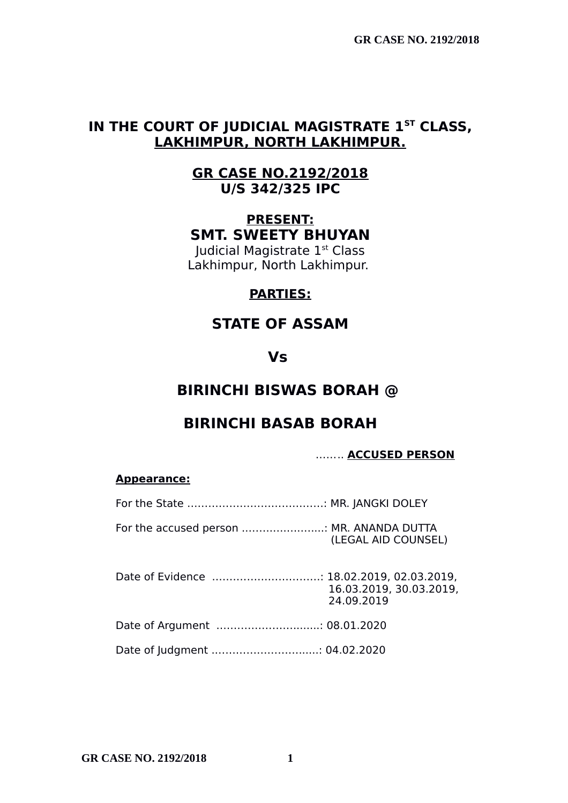## **IN THE COURT OF JUDICIAL MAGISTRATE 1ST CLASS, LAKHIMPUR, NORTH LAKHIMPUR.**

## **GR CASE NO.2192/2018 U/S 342/325 IPC**

## **PRESENT: SMT. SWEETY BHUYAN**

Judicial Magistrate 1<sup>st</sup> Class Lakhimpur, North Lakhimpur.

### **PARTIES:**

## **STATE OF ASSAM**

## **Vs**

# **BIRINCHI BISWAS BORAH @**

# **BIRINCHI BASAB BORAH**

### …….. **ACCUSED PERSON**

#### **Appearance:**

For the accused person ............................ MR. ANANDA DUTTA (LEGAL AID COUNSEL)

Date of Evidence .…………………………: 18.02.2019, 02.03.2019, 16.03.2019, 30.03.2019, 24.09.2019

- Date of Argument .…………………........: 08.01.2020
- Date of Judgment .……………………......: 04.02.2020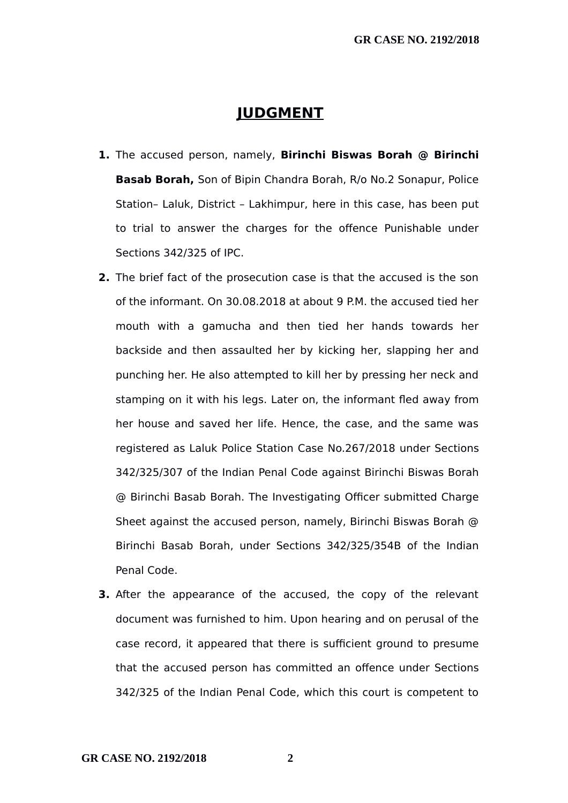### **JUDGMENT**

- **1.** The accused person, namely, **Birinchi Biswas Borah @ Birinchi Basab Borah,** Son of Bipin Chandra Borah, R/o No.2 Sonapur, Police Station– Laluk, District – Lakhimpur, here in this case, has been put to trial to answer the charges for the offence Punishable under Sections 342/325 of IPC.
- **2.** The brief fact of the prosecution case is that the accused is the son of the informant. On 30.08.2018 at about 9 P.M. the accused tied her mouth with a gamucha and then tied her hands towards her backside and then assaulted her by kicking her, slapping her and punching her. He also attempted to kill her by pressing her neck and stamping on it with his legs. Later on, the informant fled away from her house and saved her life. Hence, the case, and the same was registered as Laluk Police Station Case No.267/2018 under Sections 342/325/307 of the Indian Penal Code against Birinchi Biswas Borah @ Birinchi Basab Borah. The Investigating Officer submitted Charge Sheet against the accused person, namely, Birinchi Biswas Borah @ Birinchi Basab Borah, under Sections 342/325/354B of the Indian Penal Code.
- **3.** After the appearance of the accused, the copy of the relevant document was furnished to him. Upon hearing and on perusal of the case record, it appeared that there is sufficient ground to presume that the accused person has committed an offence under Sections 342/325 of the Indian Penal Code, which this court is competent to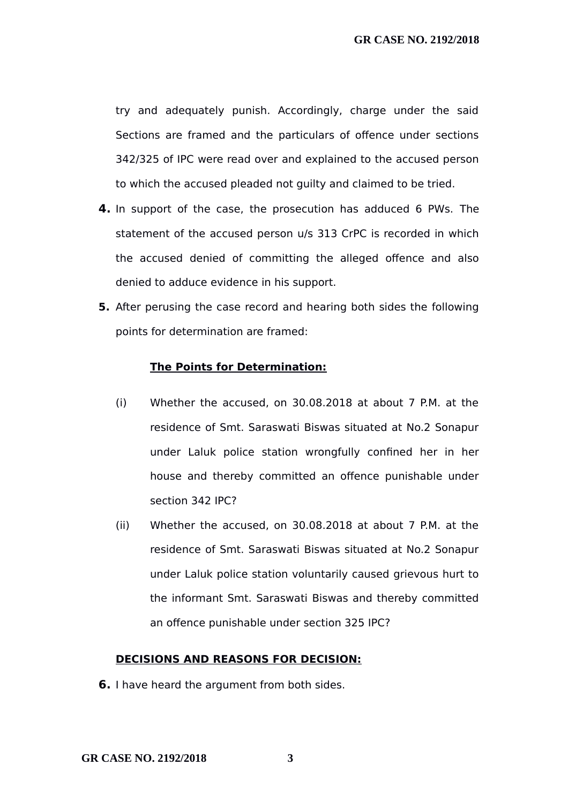try and adequately punish. Accordingly, charge under the said Sections are framed and the particulars of offence under sections 342/325 of IPC were read over and explained to the accused person to which the accused pleaded not guilty and claimed to be tried.

- **4.** In support of the case, the prosecution has adduced 6 PWs. The statement of the accused person u/s 313 CrPC is recorded in which the accused denied of committing the alleged offence and also denied to adduce evidence in his support.
- **5.** After perusing the case record and hearing both sides the following points for determination are framed:

#### **The Points for Determination:**

- (i) Whether the accused, on 30.08.2018 at about 7 P.M. at the residence of Smt. Saraswati Biswas situated at No.2 Sonapur under Laluk police station wrongfully confined her in her house and thereby committed an offence punishable under section 342 IPC?
- (ii) Whether the accused, on 30.08.2018 at about 7 P.M. at the residence of Smt. Saraswati Biswas situated at No.2 Sonapur under Laluk police station voluntarily caused grievous hurt to the informant Smt. Saraswati Biswas and thereby committed an offence punishable under section 325 IPC?

#### **DECISIONS AND REASONS FOR DECISION:**

**6.** I have heard the argument from both sides.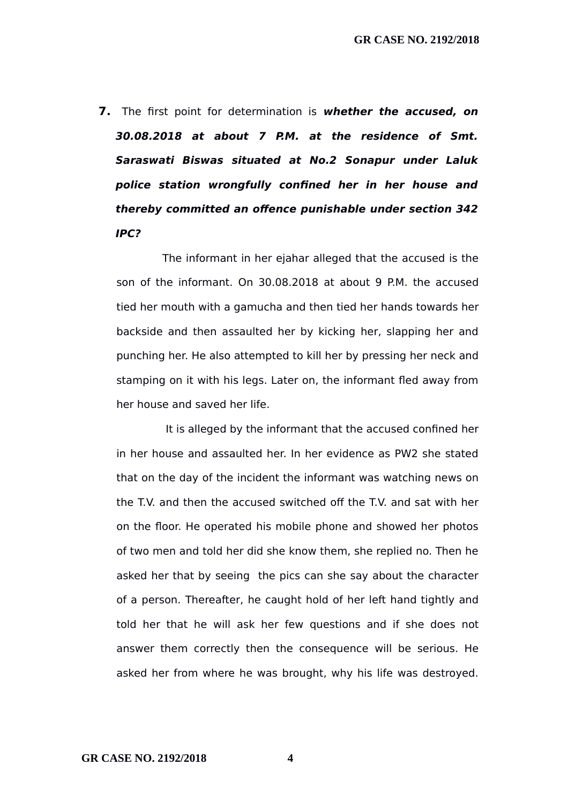**7.** The first point for determination is **whether the accused, on 30.08.2018 at about 7 P.M. at the residence of Smt. Saraswati Biswas situated at No.2 Sonapur under Laluk police station wrongfully confined her in her house and thereby committed an offence punishable under section 342 IPC?**

The informant in her ejahar alleged that the accused is the son of the informant. On 30.08.2018 at about 9 P.M. the accused tied her mouth with a gamucha and then tied her hands towards her backside and then assaulted her by kicking her, slapping her and punching her. He also attempted to kill her by pressing her neck and stamping on it with his legs. Later on, the informant fled away from her house and saved her life.

 It is alleged by the informant that the accused confined her in her house and assaulted her. In her evidence as PW2 she stated that on the day of the incident the informant was watching news on the T.V. and then the accused switched off the T.V. and sat with her on the floor. He operated his mobile phone and showed her photos of two men and told her did she know them, she replied no. Then he asked her that by seeing the pics can she say about the character of a person. Thereafter, he caught hold of her left hand tightly and told her that he will ask her few questions and if she does not answer them correctly then the consequence will be serious. He asked her from where he was brought, why his life was destroyed.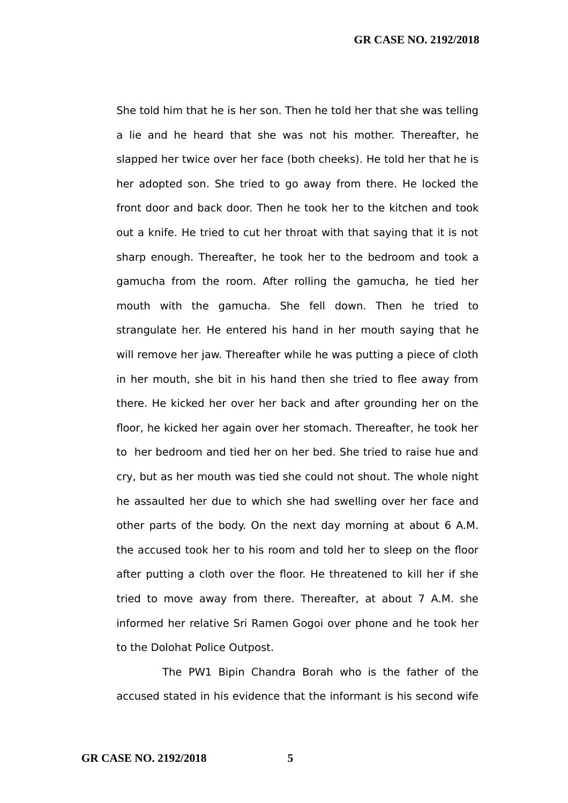She told him that he is her son. Then he told her that she was telling a lie and he heard that she was not his mother. Thereafter, he slapped her twice over her face (both cheeks). He told her that he is her adopted son. She tried to go away from there. He locked the front door and back door. Then he took her to the kitchen and took out a knife. He tried to cut her throat with that saying that it is not sharp enough. Thereafter, he took her to the bedroom and took a gamucha from the room. After rolling the gamucha, he tied her mouth with the gamucha. She fell down. Then he tried to strangulate her. He entered his hand in her mouth saying that he will remove her jaw. Thereafter while he was putting a piece of cloth in her mouth, she bit in his hand then she tried to flee away from there. He kicked her over her back and after grounding her on the floor, he kicked her again over her stomach. Thereafter, he took her to her bedroom and tied her on her bed. She tried to raise hue and cry, but as her mouth was tied she could not shout. The whole night he assaulted her due to which she had swelling over her face and other parts of the body. On the next day morning at about 6 A.M. the accused took her to his room and told her to sleep on the floor after putting a cloth over the floor. He threatened to kill her if she tried to move away from there. Thereafter, at about 7 A.M. she informed her relative Sri Ramen Gogoi over phone and he took her to the Dolohat Police Outpost.

The PW1 Bipin Chandra Borah who is the father of the accused stated in his evidence that the informant is his second wife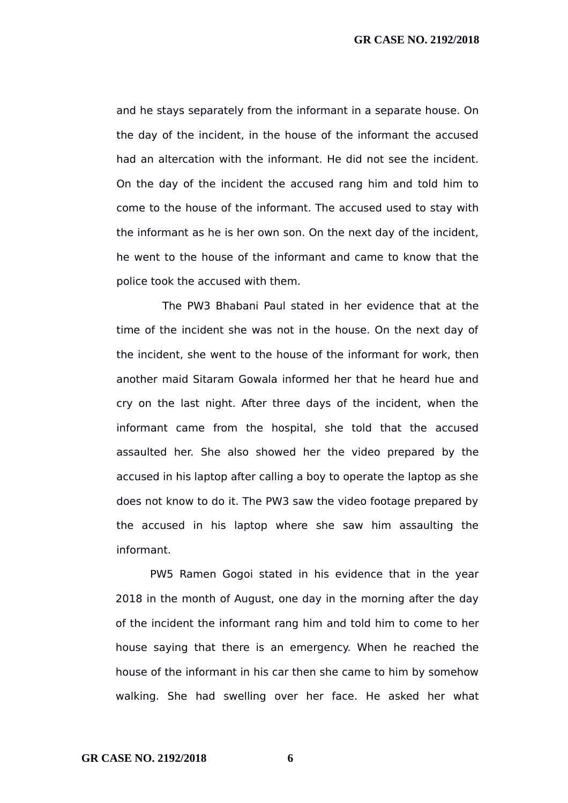and he stays separately from the informant in a separate house. On the day of the incident, in the house of the informant the accused had an altercation with the informant. He did not see the incident. On the day of the incident the accused rang him and told him to come to the house of the informant. The accused used to stay with the informant as he is her own son. On the next day of the incident, he went to the house of the informant and came to know that the police took the accused with them.

The PW3 Bhabani Paul stated in her evidence that at the time of the incident she was not in the house. On the next day of the incident, she went to the house of the informant for work, then another maid Sitaram Gowala informed her that he heard hue and cry on the last night. After three days of the incident, when the informant came from the hospital, she told that the accused assaulted her. She also showed her the video prepared by the accused in his laptop after calling a boy to operate the laptop as she does not know to do it. The PW3 saw the video footage prepared by the accused in his laptop where she saw him assaulting the informant.

PW5 Ramen Gogoi stated in his evidence that in the year 2018 in the month of August, one day in the morning after the day of the incident the informant rang him and told him to come to her house saying that there is an emergency. When he reached the house of the informant in his car then she came to him by somehow walking. She had swelling over her face. He asked her what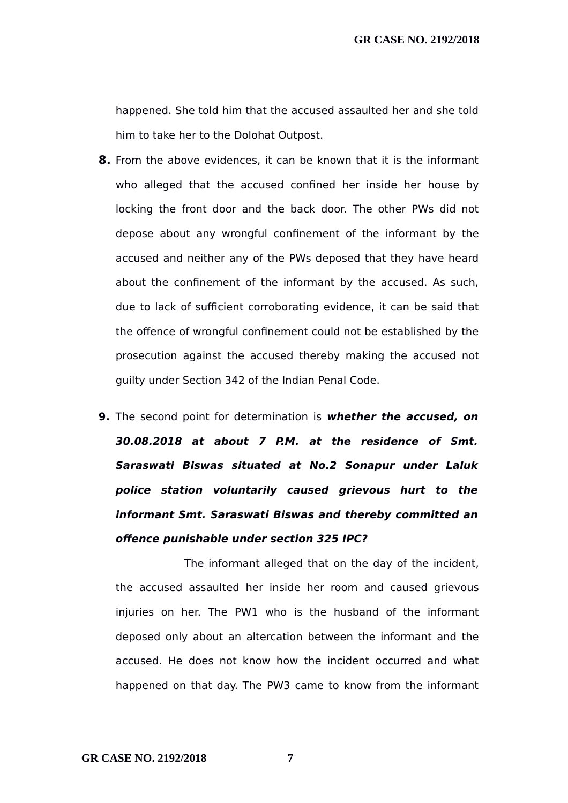happened. She told him that the accused assaulted her and she told him to take her to the Dolohat Outpost.

- **8.** From the above evidences, it can be known that it is the informant who alleged that the accused confined her inside her house by locking the front door and the back door. The other PWs did not depose about any wrongful confinement of the informant by the accused and neither any of the PWs deposed that they have heard about the confinement of the informant by the accused. As such, due to lack of sufficient corroborating evidence, it can be said that the offence of wrongful confinement could not be established by the prosecution against the accused thereby making the accused not guilty under Section 342 of the Indian Penal Code.
- **9.** The second point for determination is **whether the accused, on 30.08.2018 at about 7 P.M. at the residence of Smt. Saraswati Biswas situated at No.2 Sonapur under Laluk police station voluntarily caused grievous hurt to the informant Smt. Saraswati Biswas and thereby committed an offence punishable under section 325 IPC?**

The informant alleged that on the day of the incident, the accused assaulted her inside her room and caused grievous injuries on her. The PW1 who is the husband of the informant deposed only about an altercation between the informant and the accused. He does not know how the incident occurred and what happened on that day. The PW3 came to know from the informant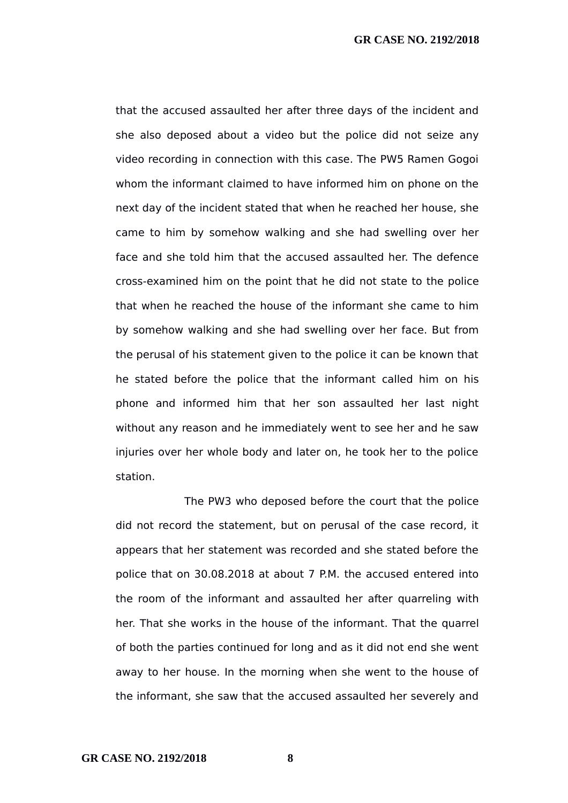that the accused assaulted her after three days of the incident and she also deposed about a video but the police did not seize any video recording in connection with this case. The PW5 Ramen Gogoi whom the informant claimed to have informed him on phone on the next day of the incident stated that when he reached her house, she came to him by somehow walking and she had swelling over her face and she told him that the accused assaulted her. The defence cross-examined him on the point that he did not state to the police that when he reached the house of the informant she came to him by somehow walking and she had swelling over her face. But from the perusal of his statement given to the police it can be known that he stated before the police that the informant called him on his phone and informed him that her son assaulted her last night without any reason and he immediately went to see her and he saw injuries over her whole body and later on, he took her to the police station.

The PW3 who deposed before the court that the police did not record the statement, but on perusal of the case record, it appears that her statement was recorded and she stated before the police that on 30.08.2018 at about 7 P.M. the accused entered into the room of the informant and assaulted her after quarreling with her. That she works in the house of the informant. That the quarrel of both the parties continued for long and as it did not end she went away to her house. In the morning when she went to the house of the informant, she saw that the accused assaulted her severely and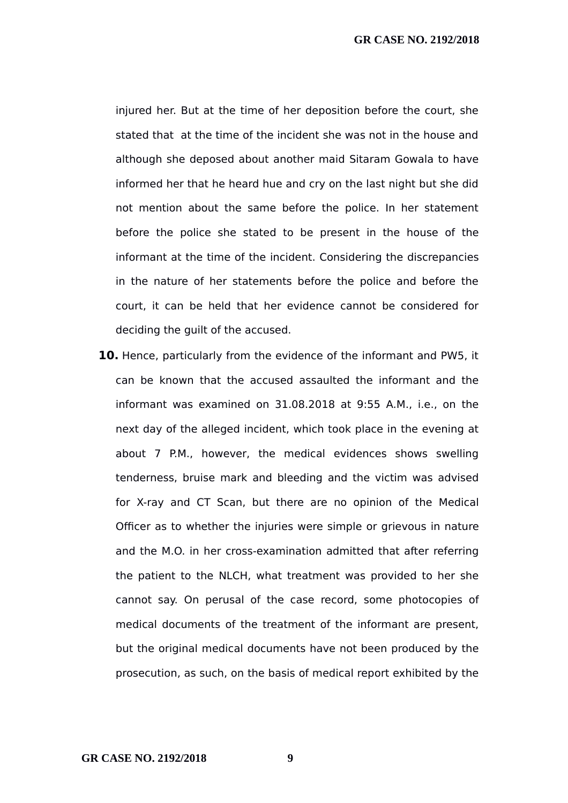injured her. But at the time of her deposition before the court, she stated that at the time of the incident she was not in the house and although she deposed about another maid Sitaram Gowala to have informed her that he heard hue and cry on the last night but she did not mention about the same before the police. In her statement before the police she stated to be present in the house of the informant at the time of the incident. Considering the discrepancies in the nature of her statements before the police and before the court, it can be held that her evidence cannot be considered for deciding the guilt of the accused.

**10.** Hence, particularly from the evidence of the informant and PW5, it can be known that the accused assaulted the informant and the informant was examined on 31.08.2018 at 9:55 A.M., i.e., on the next day of the alleged incident, which took place in the evening at about 7 P.M., however, the medical evidences shows swelling tenderness, bruise mark and bleeding and the victim was advised for X-ray and CT Scan, but there are no opinion of the Medical Officer as to whether the injuries were simple or grievous in nature and the M.O. in her cross-examination admitted that after referring the patient to the NLCH, what treatment was provided to her she cannot say. On perusal of the case record, some photocopies of medical documents of the treatment of the informant are present, but the original medical documents have not been produced by the prosecution, as such, on the basis of medical report exhibited by the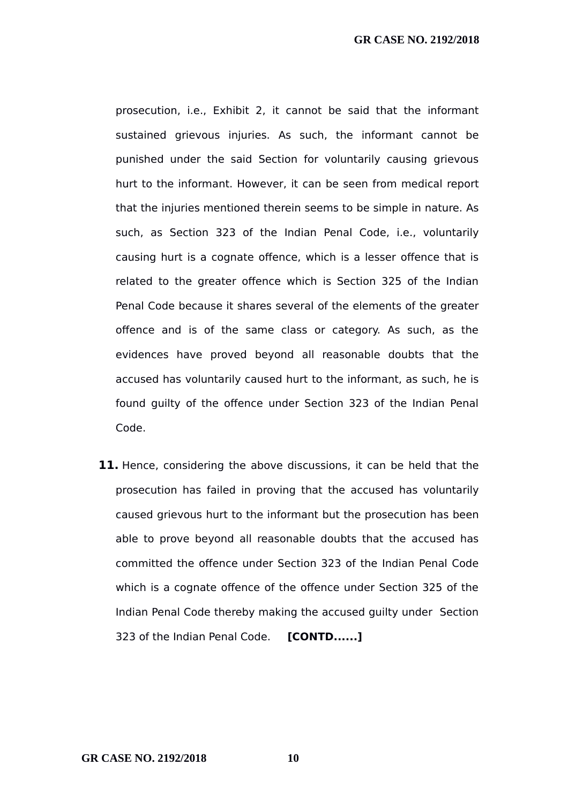prosecution, i.e., Exhibit 2, it cannot be said that the informant sustained grievous injuries. As such, the informant cannot be punished under the said Section for voluntarily causing grievous hurt to the informant. However, it can be seen from medical report that the injuries mentioned therein seems to be simple in nature. As such, as Section 323 of the Indian Penal Code, i.e., voluntarily causing hurt is a cognate offence, which is a lesser offence that is related to the greater offence which is Section 325 of the Indian Penal Code because it shares several of the elements of the greater offence and is of the same class or category. As such, as the evidences have proved beyond all reasonable doubts that the accused has voluntarily caused hurt to the informant, as such, he is found guilty of the offence under Section 323 of the Indian Penal Code.

**11.** Hence, considering the above discussions, it can be held that the prosecution has failed in proving that the accused has voluntarily caused grievous hurt to the informant but the prosecution has been able to prove beyond all reasonable doubts that the accused has committed the offence under Section 323 of the Indian Penal Code which is a cognate offence of the offence under Section 325 of the Indian Penal Code thereby making the accused guilty under Section 323 of the Indian Penal Code. **[CONTD......]**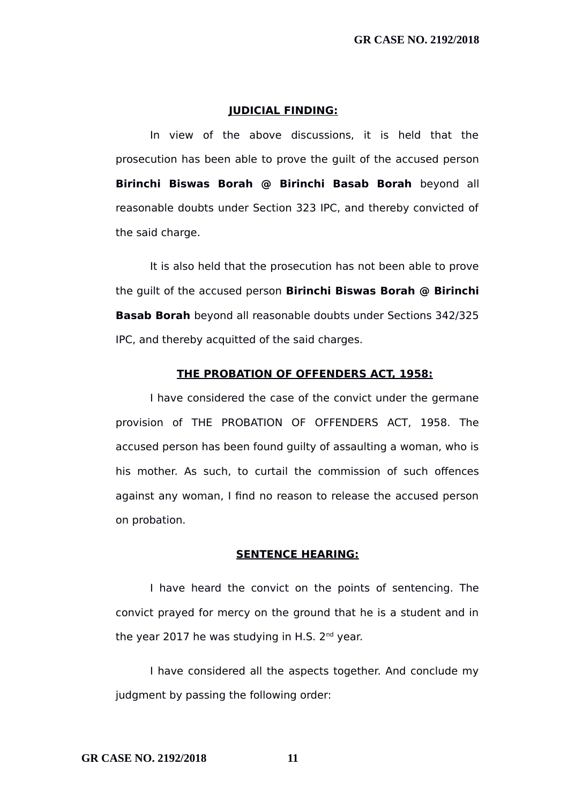#### **JUDICIAL FINDING:**

In view of the above discussions, it is held that the prosecution has been able to prove the guilt of the accused person **Birinchi Biswas Borah @ Birinchi Basab Borah** beyond all reasonable doubts under Section 323 IPC, and thereby convicted of the said charge.

It is also held that the prosecution has not been able to prove the guilt of the accused person **Birinchi Biswas Borah @ Birinchi Basab Borah** beyond all reasonable doubts under Sections 342/325 IPC, and thereby acquitted of the said charges.

#### **THE PROBATION OF OFFENDERS ACT, 1958:**

I have considered the case of the convict under the germane provision of THE PROBATION OF OFFENDERS ACT, 1958. The accused person has been found guilty of assaulting a woman, who is his mother. As such, to curtail the commission of such offences against any woman, I find no reason to release the accused person on probation.

#### **SENTENCE HEARING:**

I have heard the convict on the points of sentencing. The convict prayed for mercy on the ground that he is a student and in the year 2017 he was studying in H.S.  $2^{nd}$  year.

I have considered all the aspects together. And conclude my judgment by passing the following order: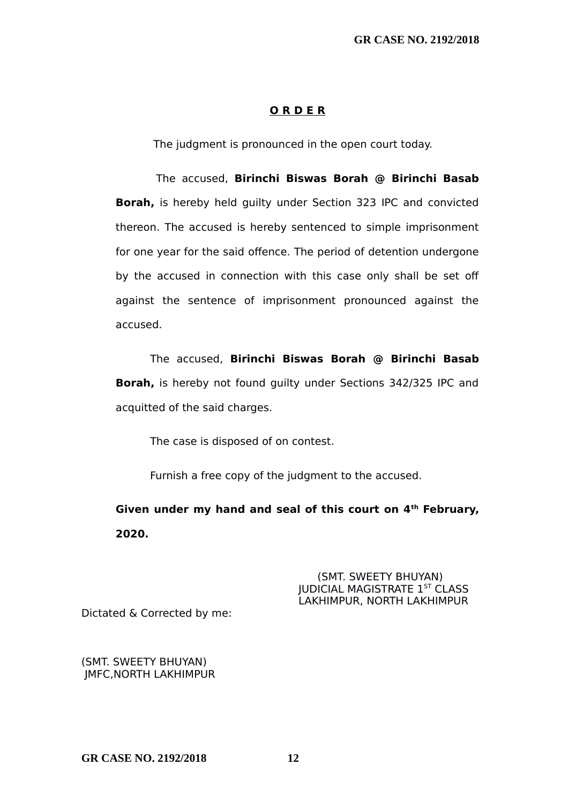#### **O R D E R**

The judgment is pronounced in the open court today.

 The accused, **Birinchi Biswas Borah @ Birinchi Basab Borah,** is hereby held guilty under Section 323 IPC and convicted thereon. The accused is hereby sentenced to simple imprisonment for one year for the said offence. The period of detention undergone by the accused in connection with this case only shall be set off against the sentence of imprisonment pronounced against the accused.

The accused, **Birinchi Biswas Borah @ Birinchi Basab Borah,** is hereby not found guilty under Sections 342/325 IPC and acquitted of the said charges.

The case is disposed of on contest.

Furnish a free copy of the judgment to the accused.

**Given under my hand and seal of this court on 4th February, 2020.**

> (SMT. SWEETY BHUYAN) JUDICIAL MAGISTRATE 1ST CLASS LAKHIMPUR, NORTH LAKHIMPUR

Dictated & Corrected by me:

(SMT. SWEETY BHUYAN) JMFC,NORTH LAKHIMPUR